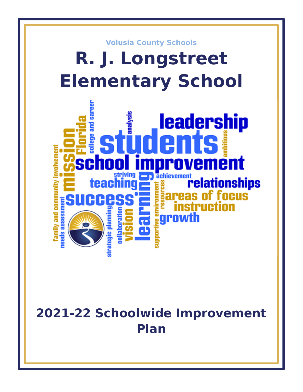

# **2021-22 Schoolwide Improvement Plan**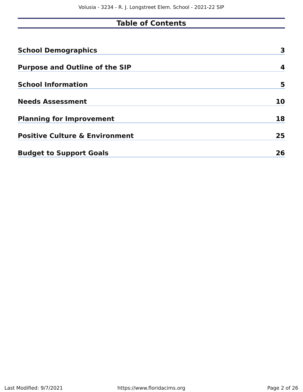# **Table of Contents**

| <b>School Demographics</b>                | 3  |
|-------------------------------------------|----|
| <b>Purpose and Outline of the SIP</b>     | 4  |
| <b>School Information</b>                 | 5  |
| <b>Needs Assessment</b>                   | 10 |
| <b>Planning for Improvement</b>           | 18 |
| <b>Positive Culture &amp; Environment</b> | 25 |
| <b>Budget to Support Goals</b>            | 26 |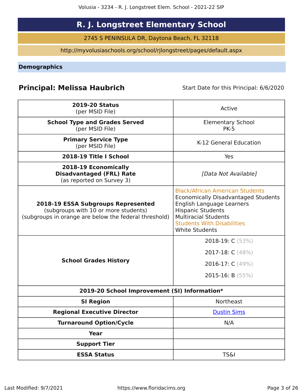# **R. J. Longstreet Elementary School**

2745 S PENINSULA DR, Daytona Beach, FL 32118

http://myvolusiaschools.org/school/rjlongstreet/pages/default.aspx

<span id="page-2-0"></span>**Demographics**

## **Principal: Melissa Haubrich** Start Date for this Principal: 6/6/2020

| <b>2019-20 Status</b>                                                                                                                      | Active                                                                                                                                                                                                                                     |
|--------------------------------------------------------------------------------------------------------------------------------------------|--------------------------------------------------------------------------------------------------------------------------------------------------------------------------------------------------------------------------------------------|
| (per MSID File)                                                                                                                            |                                                                                                                                                                                                                                            |
| <b>School Type and Grades Served</b><br>(per MSID File)                                                                                    | <b>Elementary School</b><br><b>PK-5</b>                                                                                                                                                                                                    |
| <b>Primary Service Type</b><br>(per MSID File)                                                                                             | K-12 General Education                                                                                                                                                                                                                     |
| 2018-19 Title I School                                                                                                                     | Yes                                                                                                                                                                                                                                        |
| 2018-19 Economically<br><b>Disadvantaged (FRL) Rate</b><br>(as reported on Survey 3)                                                       | [Data Not Available]                                                                                                                                                                                                                       |
| <b>2018-19 ESSA Subgroups Represented</b><br>(subgroups with 10 or more students)<br>(subgroups in orange are below the federal threshold) | <b>Black/African American Students</b><br><b>Economically Disadvantaged Students</b><br>English Language Learners<br><b>Hispanic Students</b><br><b>Multiracial Students</b><br><b>Students With Disabilities</b><br><b>White Students</b> |
| <b>School Grades History</b>                                                                                                               | 2018-19: C (53%)<br>2017-18: C (48%)<br>2016-17: C (49%)<br>2015-16: B $(55%)$                                                                                                                                                             |
| 2019-20 School Improvement (SI) Information*                                                                                               |                                                                                                                                                                                                                                            |
| <b>SI Region</b>                                                                                                                           | <b>Northeast</b>                                                                                                                                                                                                                           |
| <b>Regional Executive Director</b>                                                                                                         | <b>Dustin Sims</b>                                                                                                                                                                                                                         |
| <b>Turnaround Option/Cycle</b>                                                                                                             | N/A                                                                                                                                                                                                                                        |
| <b>Year</b>                                                                                                                                |                                                                                                                                                                                                                                            |
| <b>Support Tier</b>                                                                                                                        |                                                                                                                                                                                                                                            |
| <b>ESSA Status</b>                                                                                                                         | <b>TS&amp;I</b>                                                                                                                                                                                                                            |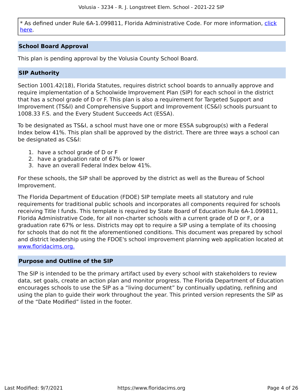\* As defined under Rule 6A-1.099811, Florida Administrative Code. For more information, [click](/downloads?category=da-forms) [here](/downloads?category=da-forms).

### **School Board Approval**

This plan is pending approval by the Volusia County School Board.

### **SIP Authority**

Section 1001.42(18), Florida Statutes, requires district school boards to annually approve and require implementation of a Schoolwide Improvement Plan (SIP) for each school in the district that has a school grade of D or F. This plan is also a requirement for Targeted Support and Improvement (TS&I) and Comprehensive Support and Improvement (CS&I) schools pursuant to 1008.33 F.S. and the Every Student Succeeds Act (ESSA).

To be designated as TS&I, a school must have one or more ESSA subgroup(s) with a Federal Index below 41%. This plan shall be approved by the district. There are three ways a school can be designated as CS&I:

- 1. have a school grade of D or F
- 2. have a graduation rate of 67% or lower
- 3. have an overall Federal Index below 41%.

For these schools, the SIP shall be approved by the district as well as the Bureau of School Improvement.

The Florida Department of Education (FDOE) SIP template meets all statutory and rule requirements for traditional public schools and incorporates all components required for schools receiving Title I funds. This template is required by State Board of Education Rule 6A-1.099811, Florida Administrative Code, for all non-charter schools with a current grade of D or F, or a graduation rate 67% or less. Districts may opt to require a SIP using a template of its choosing for schools that do not fit the aforementioned conditions. This document was prepared by school and district leadership using the FDOE's school improvement planning web application located at [www.floridacims.org.](https://www.floridacims.org)

### <span id="page-3-0"></span>**Purpose and Outline of the SIP**

The SIP is intended to be the primary artifact used by every school with stakeholders to review data, set goals, create an action plan and monitor progress. The Florida Department of Education encourages schools to use the SIP as a "living document" by continually updating, refining and using the plan to guide their work throughout the year. This printed version represents the SIP as of the "Date Modified" listed in the footer.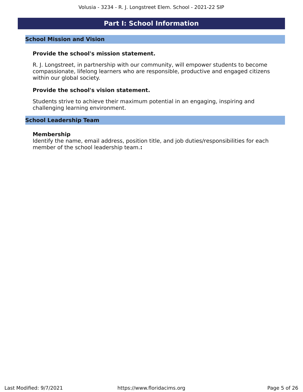### **Part I: School Information**

### <span id="page-4-0"></span>**School Mission and Vision**

### **Provide the school's mission statement.**

R. J. Longstreet, in partnership with our community, will empower students to become compassionate, lifelong learners who are responsible, productive and engaged citizens within our global society.

### **Provide the school's vision statement.**

Students strive to achieve their maximum potential in an engaging, inspiring and challenging learning environment.

### **School Leadership Team**

### **Membership**

Identify the name, email address, position title, and job duties/responsibilities for each member of the school leadership team.**:**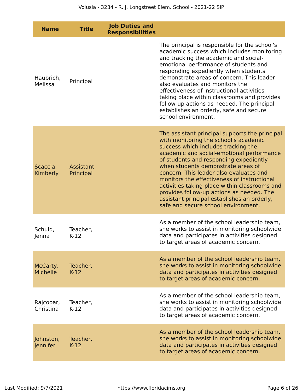| <b>Name</b>                 | <b>Title</b>           | <b>Job Duties and</b><br><b>Responsibilities</b> |                                                                                                                                                                                                                                                                                                                                                                                                                                                                                                                                           |
|-----------------------------|------------------------|--------------------------------------------------|-------------------------------------------------------------------------------------------------------------------------------------------------------------------------------------------------------------------------------------------------------------------------------------------------------------------------------------------------------------------------------------------------------------------------------------------------------------------------------------------------------------------------------------------|
| Haubrich,<br>Melissa        | Principal              |                                                  | The principal is responsible for the school's<br>academic success which includes monitoring<br>and tracking the academic and social-<br>emotional performance of students and<br>responding expediently when students<br>demonstrate areas of concern. This leader<br>also evaluates and monitors the<br>effectiveness of instructional activities<br>taking place within classrooms and provides<br>follow-up actions as needed. The principal<br>establishes an orderly, safe and secure<br>school environment.                         |
| Scaccia,<br>Kimberly        | Assistant<br>Principal |                                                  | The assistant principal supports the principal<br>with monitoring the school's academic<br>success which includes tracking the<br>academic and social-emotional performance<br>of students and responding expediently<br>when students demonstrate areas of<br>concern. This leader also evaluates and<br>monitors the effectiveness of instructional<br>activities taking place within classrooms and<br>provides follow-up actions as needed. The<br>assistant principal establishes an orderly,<br>safe and secure school environment. |
| Schuld,<br>Jenna            | Teacher,<br>$K-12$     |                                                  | As a member of the school leadership team,<br>she works to assist in monitoring schoolwide<br>data and participates in activities designed<br>to target areas of academic concern.                                                                                                                                                                                                                                                                                                                                                        |
| McCarty,<br><b>Michelle</b> | Teacher,<br>$K-12$     |                                                  | As a member of the school leadership team,<br>she works to assist in monitoring schoolwide<br>data and participates in activities designed<br>to target areas of academic concern.                                                                                                                                                                                                                                                                                                                                                        |
| Rajcooar,<br>Christina      | Teacher,<br>$K-12$     |                                                  | As a member of the school leadership team,<br>she works to assist in monitoring schoolwide<br>data and participates in activities designed<br>to target areas of academic concern.                                                                                                                                                                                                                                                                                                                                                        |
| Johnston,<br>Jennifer       | Teacher,<br>$K-12$     |                                                  | As a member of the school leadership team,<br>she works to assist in monitoring schoolwide<br>data and participates in activities designed<br>to target areas of academic concern.                                                                                                                                                                                                                                                                                                                                                        |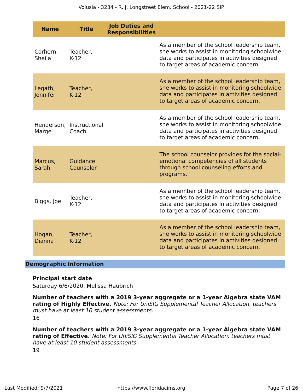| <b>Name</b>             | <b>Title</b>                      | <b>Job Duties and</b><br><b>Responsibilities</b> |                                                                                                                                                                                    |
|-------------------------|-----------------------------------|--------------------------------------------------|------------------------------------------------------------------------------------------------------------------------------------------------------------------------------------|
| Corhern,<br>Sheila      | Teacher,<br>$K-12$                |                                                  | As a member of the school leadership team,<br>she works to assist in monitoring schoolwide<br>data and participates in activities designed<br>to target areas of academic concern. |
| Legath,<br>Jennifer     | Teacher,<br>$K-12$                |                                                  | As a member of the school leadership team,<br>she works to assist in monitoring schoolwide<br>data and participates in activities designed<br>to target areas of academic concern. |
| Marge                   | Henderson, Instructional<br>Coach |                                                  | As a member of the school leadership team,<br>she works to assist in monitoring schoolwide<br>data and participates in activities designed<br>to target areas of academic concern. |
| Marcus,<br>Sarah        | Guidance<br>Counselor             |                                                  | The school counselor provides for the social-<br>emotional competencies of all students<br>through school counseling efforts and<br>programs.                                      |
| Biggs, Joe              | Teacher,<br>$K-12$                |                                                  | As a member of the school leadership team,<br>she works to assist in monitoring schoolwide<br>data and participates in activities designed<br>to target areas of academic concern. |
| Hogan,<br><b>Dianna</b> | Teacher,<br>$K-12$                |                                                  | As a member of the school leadership team,<br>she works to assist in monitoring schoolwide<br>data and participates in activities designed<br>to target areas of academic concern. |

### **Demographic Information**

### **Principal start date**

Saturday 6/6/2020, Melissa Haubrich

**Number of teachers with a 2019 3-year aggregate or a 1-year Algebra state VAM rating of Highly Effective.** Note: For UniSIG Supplemental Teacher Allocation, teachers must have at least 10 student assessments. 16

**Number of teachers with a 2019 3-year aggregate or a 1-year Algebra state VAM rating of Effective.** Note: For UniSIG Supplemental Teacher Allocation, teachers must

have at least 10 student assessments. 19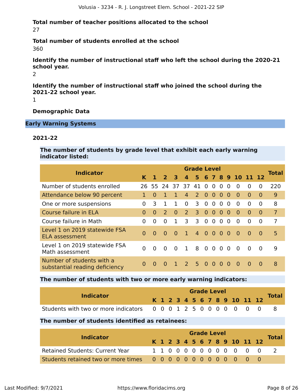**Total number of teacher positions allocated to the school** 27

**Total number of students enrolled at the school** 360

**Identify the number of instructional staff who left the school during the 2020-21 school year.**

2

**Identify the number of instructional staff who joined the school during the 2021-22 school year.**

1

**Demographic Data**

**Early Warning Systems**

### **2021-22**

**The number of students by grade level that exhibit each early warning indicator listed:**

| <b>Indicator</b>                                            |          |          |                |          |                 | <b>Grade Level</b> |                |                |          |          |                    |          |          | <b>Total</b>   |
|-------------------------------------------------------------|----------|----------|----------------|----------|-----------------|--------------------|----------------|----------------|----------|----------|--------------------|----------|----------|----------------|
|                                                             | ĸ        |          | $\overline{2}$ | 3        | $\overline{a}$  |                    |                |                |          |          | 5 6 7 8 9 10 11 12 |          |          |                |
| Number of students enrolled                                 |          |          | 26 55 24 37    |          |                 | 37 41 0 0          |                |                | $\Omega$ | $\Omega$ | $\Omega$           | $\Omega$ | 0        | 220            |
| Attendance below 90 percent                                 |          | $\Omega$ |                |          | 4               | 2 <sup>1</sup>     | $\Omega$       | $\Omega$       | $\Omega$ | $\Omega$ | $\Omega$           | $\Omega$ | 0        | 9              |
| One or more suspensions                                     | 0        | 3        | 1.             | 1        | 0               | 3                  | $\Omega$       | $\Omega$       | $\Omega$ | $\Omega$ | 0                  | $\Omega$ | $\Omega$ | 8              |
| Course failure in ELA                                       | 0        | 0        | $\mathcal{P}$  | $\Omega$ | $\mathcal{P}$   | $\overline{3}$     | $\overline{0}$ | $\Omega$       | $\Omega$ | $\Omega$ | $\Omega$           | $\Omega$ | $\Omega$ | $\overline{7}$ |
| Course failure in Math                                      | 0        | 0        | 0              |          | 3               | 3                  | $\Omega$       | $\overline{0}$ | $\Omega$ | $\Omega$ | $\Omega$           | 0        | 0        | 7              |
| Level 1 on 2019 statewide FSA<br><b>ELA assessment</b>      | $\Omega$ | $\Omega$ | $\Omega$       | $\Omega$ | $\blacklozenge$ | 4 0 0 0 0          |                |                |          |          | - 0                | $\Omega$ | $\Omega$ | 5              |
| Level 1 on 2019 statewide FSA<br>Math assessment            | 0        | $\Omega$ | 0              | $\Omega$ | $\mathbf{1}$    | 8                  | $0\quad 0$     |                | $\Omega$ | $\Omega$ | $\Omega$           | $\Omega$ | $\Omega$ | 9              |
| Number of students with a<br>substantial reading deficiency | $\Omega$ | $\Omega$ | $\Omega$       |          | $\overline{2}$  | .5.                | - 0            | $\Omega$       | $\Omega$ | $\Omega$ | $\Omega$           | $\Omega$ | 0        | 8              |

**The number of students with two or more early warning indicators:**

| <b>Indicator</b>                                                 |  |  |  |  | <b>Grade Level</b> |  |                              | <b>Total</b> |
|------------------------------------------------------------------|--|--|--|--|--------------------|--|------------------------------|--------------|
|                                                                  |  |  |  |  |                    |  | K 1 2 3 4 5 6 7 8 9 10 11 12 |              |
| Students with two or more indicators 0 0 0 1 2 5 0 0 0 0 0 0 0 0 |  |  |  |  |                    |  |                              |              |

### **The number of students identified as retainees:**

| <b>Indicator</b>                       |  |  |  | <b>Grade Level</b> |  |  |                              |              |
|----------------------------------------|--|--|--|--------------------|--|--|------------------------------|--------------|
|                                        |  |  |  |                    |  |  | K 1 2 3 4 5 6 7 8 9 10 11 12 | <b>Total</b> |
| <b>Retained Students: Current Year</b> |  |  |  |                    |  |  | 1100000000000                |              |
|                                        |  |  |  |                    |  |  |                              |              |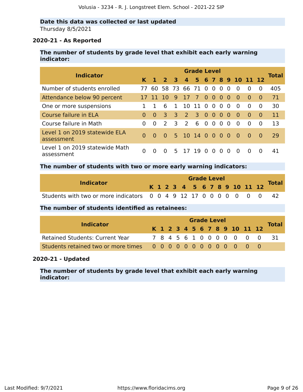### **Date this data was collected or last updated** Thursday 8/5/2021

### **2020-21 - As Reported**

### **The number of students by grade level that exhibit each early warning indicator:**

|                                              | <b>Grade Level</b> |           |                      |                         |                         |                |                |            |                |          |                    |          |          |              |
|----------------------------------------------|--------------------|-----------|----------------------|-------------------------|-------------------------|----------------|----------------|------------|----------------|----------|--------------------|----------|----------|--------------|
| <b>Indicator</b>                             |                    |           |                      |                         |                         |                |                |            |                |          |                    |          |          | <b>Total</b> |
|                                              |                    | $K$ 1 2 3 |                      |                         | $\overline{\mathbf{4}}$ |                |                |            |                |          | 5 6 7 8 9 10 11 12 |          |          |              |
| Number of students enrolled                  | 77                 |           | 60 58 73 66 71 0 0 0 |                         |                         |                |                |            |                | $\Omega$ | $\Omega$           | $\Omega$ | $\Omega$ | 405          |
| Attendance below 90 percent                  |                    |           | -10                  | <b>q</b>                | 17                      | $\overline{7}$ | $\Omega$       | - 0        | $\Omega$       | - 0      | $\Omega$           | $\Omega$ | $\Omega$ | 71           |
| One or more suspensions                      |                    |           | 6                    | $\mathbf{1}$            |                         | 10 11 0 0 0    |                |            |                | - 0      | $\Omega$           | $\Omega$ | $\Omega$ | 30           |
| Course failure in ELA                        | $\Omega$           | $\Omega$  | 3                    | $\overline{\mathbf{3}}$ | $\overline{2}$          | $\overline{3}$ | 0 <sub>0</sub> |            | $\overline{0}$ | - 0      | $\Omega$           | $\Omega$ | $\Omega$ | 11           |
| Course failure in Math                       | $\Omega$           | $\Omega$  | $\mathcal{L}$        | 3                       | $\overline{2}$          | 6              |                | $0\quad 0$ | $\overline{0}$ | $\Omega$ | $\Omega$           | $\Omega$ | $\Omega$ | 13           |
| Level 1 on 2019 statewide ELA<br>assessment  | $\Omega$           | $\Omega$  | $\Omega$             |                         | 5 10 14 0 0 0 0         |                |                |            |                |          | - 0                | $\Omega$ | $\Omega$ | 29           |
| Level 1 on 2019 statewide Math<br>assessment | 0                  | $\Omega$  | $\Omega$             |                         | 5 17 19 0 0             |                |                |            | $\Omega$       | $\Omega$ | $\Omega$           |          | $\Omega$ | 41           |

### **The number of students with two or more early warning indicators:**

| <b>Indicator</b>                                                    |  |  |  | <b>Grade Level</b> |  |  |                              |  |              |
|---------------------------------------------------------------------|--|--|--|--------------------|--|--|------------------------------|--|--------------|
|                                                                     |  |  |  |                    |  |  | K 1 2 3 4 5 6 7 8 9 10 11 12 |  | <b>Total</b> |
| Students with two or more indicators 0 0 4 9 12 17 0 0 0 0 0 0 0 42 |  |  |  |                    |  |  |                              |  |              |

### **The number of students identified as retainees:**

| <b>Indicator</b>                                                  |  |  |  |  | <b>Grade Level</b> |  |                              |              |
|-------------------------------------------------------------------|--|--|--|--|--------------------|--|------------------------------|--------------|
|                                                                   |  |  |  |  |                    |  | K 1 2 3 4 5 6 7 8 9 10 11 12 | <b>Total</b> |
| <b>Retained Students: Current Year</b>                            |  |  |  |  |                    |  | 7845610000000                | - 31 -       |
| Students retained two or more times 0 0 0 0 0 0 0 0 0 0 0 0 0 0 0 |  |  |  |  |                    |  |                              |              |

### **2020-21 - Updated**

**The number of students by grade level that exhibit each early warning indicator:**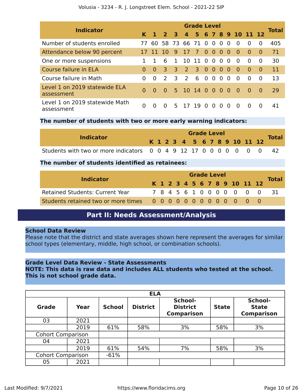| <b>Indicator</b>                             | <b>Grade Level</b> |                |                      |              |                 |         |                |                |                |          |                |                      |          |              |  |
|----------------------------------------------|--------------------|----------------|----------------------|--------------|-----------------|---------|----------------|----------------|----------------|----------|----------------|----------------------|----------|--------------|--|
|                                              |                    | K <sub>1</sub> | 2 <sub>3</sub>       |              |                 |         |                |                |                |          |                | 4 5 6 7 8 9 10 11 12 |          | <b>Total</b> |  |
| Number of students enrolled                  | 77                 |                | 60 58 73 66 71 0 0 0 |              |                 |         |                |                |                | $\Omega$ | $\Omega$       | $\Omega$             | $\Omega$ | 405          |  |
| Attendance below 90 percent                  |                    | 17 11 10       |                      | 9            | 17 7            |         | 0 <sub>0</sub> |                | 0              | -0       | - 0            | $\Omega$             | 0        | 71           |  |
| One or more suspensions                      |                    |                | 6                    | $\mathbf{1}$ |                 | 10 11 0 |                | $\overline{0}$ | $\overline{0}$ | - 0      | $\Omega$       | $\Omega$             | $\Omega$ | 30           |  |
| Course failure in ELA                        | $\Omega$           | $\Omega$       | 3                    | -3.          | $\overline{2}$  | 3 0 0   |                |                | - 0            | - 0      | - 0            | $\Omega$             | $\Omega$ | 11           |  |
| Course failure in Math                       | $\Omega$           | $\Omega$       | $\mathcal{L}$        | 3            | $\overline{2}$  | 6       | $\overline{0}$ | $\overline{0}$ | $\Omega$       | $\Omega$ | $\Omega$       | $\Omega$             | $\Omega$ | 13           |  |
| Level 1 on 2019 statewide ELA<br>assessment  | $\Omega$           | $\Omega$       | - 0                  |              | 5 10 14 0 0 0 0 |         |                |                |                |          | - 0            | $\Omega$             | $\Omega$ | 29           |  |
| Level 1 on 2019 statewide Math<br>assessment |                    |                |                      |              | 5 17 19 0 0     |         |                |                | - 0            | $\Omega$ | $\overline{0}$ | $\Omega$             | $\Omega$ | 41           |  |

### **The number of students with two or more early warning indicators:**

|                                                                     |  |  |  | <b>Grade Level</b> |  |  |                              |  |              |
|---------------------------------------------------------------------|--|--|--|--------------------|--|--|------------------------------|--|--------------|
| <b>Indicator</b>                                                    |  |  |  |                    |  |  | K 1 2 3 4 5 6 7 8 9 10 11 12 |  | <b>Total</b> |
| Students with two or more indicators 0 0 4 9 12 17 0 0 0 0 0 0 0 42 |  |  |  |                    |  |  |                              |  |              |

### **The number of students identified as retainees:**

|                                        |  | <b>Grade Level</b> |  |  |  |  |  |  |  |  |                              |                            |
|----------------------------------------|--|--------------------|--|--|--|--|--|--|--|--|------------------------------|----------------------------|
| <b>Indicator</b>                       |  |                    |  |  |  |  |  |  |  |  | K 1 2 3 4 5 6 7 8 9 10 11 12 | <b>Total</b>               |
| <b>Retained Students: Current Year</b> |  |                    |  |  |  |  |  |  |  |  |                              | 7 8 4 5 6 1 0 0 0 0 0 0 31 |
|                                        |  |                    |  |  |  |  |  |  |  |  |                              |                            |

### **Part II: Needs Assessment/Analysis**

### <span id="page-9-0"></span>**School Data Review**

Please note that the district and state averages shown here represent the averages for similar school types (elementary, middle, high school, or combination schools).

### **Grade Level Data Review - State Assessments**

**NOTE: This data is raw data and includes ALL students who tested at the school. This is not school grade data.**

|                          | <b>ELA</b> |               |                 |                                                 |              |                                              |  |  |  |  |  |
|--------------------------|------------|---------------|-----------------|-------------------------------------------------|--------------|----------------------------------------------|--|--|--|--|--|
| <b>Grade</b>             | Year       | <b>School</b> | <b>District</b> | School-<br><b>District</b><br><b>Comparison</b> | <b>State</b> | School-<br><b>State</b><br><b>Comparison</b> |  |  |  |  |  |
| 03                       | 2021       |               |                 |                                                 |              |                                              |  |  |  |  |  |
|                          | 2019       | 61%           | 58%             | 3%                                              | 58%          | 3%                                           |  |  |  |  |  |
| <b>Cohort Comparison</b> |            |               |                 |                                                 |              |                                              |  |  |  |  |  |
| 04                       | 2021       |               |                 |                                                 |              |                                              |  |  |  |  |  |
|                          | 2019       | 61%           | 54%             | 7%                                              | 58%          | 3%                                           |  |  |  |  |  |
| <b>Cohort Comparison</b> |            | $-61%$        |                 |                                                 |              |                                              |  |  |  |  |  |
| 05                       | 2021       |               |                 |                                                 |              |                                              |  |  |  |  |  |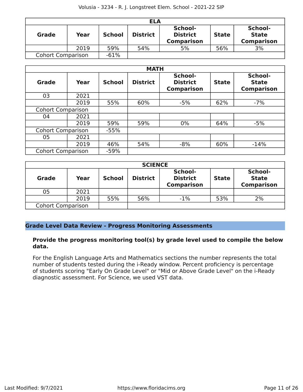| <b>ELA</b>               |      |               |                 |                                                 |              |                                              |  |  |  |
|--------------------------|------|---------------|-----------------|-------------------------------------------------|--------------|----------------------------------------------|--|--|--|
| <b>Grade</b>             | Year | <b>School</b> | <b>District</b> | School-<br><b>District</b><br><b>Comparison</b> | <b>State</b> | School-<br><b>State</b><br><b>Comparison</b> |  |  |  |
|                          | 2019 | 59%           | 54%             | 5%                                              | 56%          | 3%                                           |  |  |  |
| <b>Cohort Comparison</b> |      | $-61%$        |                 |                                                 |              |                                              |  |  |  |

|                          | <b>MATH</b> |               |                 |                                                 |              |                                              |  |  |  |  |  |
|--------------------------|-------------|---------------|-----------------|-------------------------------------------------|--------------|----------------------------------------------|--|--|--|--|--|
| Grade                    | Year        | <b>School</b> | <b>District</b> | School-<br><b>District</b><br><b>Comparison</b> | <b>State</b> | School-<br><b>State</b><br><b>Comparison</b> |  |  |  |  |  |
| 03                       | 2021        |               |                 |                                                 |              |                                              |  |  |  |  |  |
|                          | 2019        | 55%           | 60%             | $-5%$                                           | 62%          | $-7%$                                        |  |  |  |  |  |
| <b>Cohort Comparison</b> |             |               |                 |                                                 |              |                                              |  |  |  |  |  |
| 04                       | 2021        |               |                 |                                                 |              |                                              |  |  |  |  |  |
|                          | 2019        | 59%           | 59%             | $0\%$                                           | 64%          | $-5%$                                        |  |  |  |  |  |
| <b>Cohort Comparison</b> |             | $-55%$        |                 |                                                 |              |                                              |  |  |  |  |  |
| 05                       | 2021        |               |                 |                                                 |              |                                              |  |  |  |  |  |
|                          | 2019        | 46%           | 54%             | $-8%$                                           | 60%          | $-14%$                                       |  |  |  |  |  |
| <b>Cohort Comparison</b> |             | $-59%$        |                 |                                                 |              |                                              |  |  |  |  |  |

| <b>SCIENCE</b>           |      |               |                 |                                                 |              |                                              |  |  |  |  |
|--------------------------|------|---------------|-----------------|-------------------------------------------------|--------------|----------------------------------------------|--|--|--|--|
| <b>Grade</b>             | Year | <b>School</b> | <b>District</b> | School-<br><b>District</b><br><b>Comparison</b> | <b>State</b> | School-<br><b>State</b><br><b>Comparison</b> |  |  |  |  |
| 05                       | 2021 |               |                 |                                                 |              |                                              |  |  |  |  |
|                          | 2019 | 55%           | 56%             | $-1%$                                           | 53%          | 2%                                           |  |  |  |  |
| <b>Cohort Comparison</b> |      |               |                 |                                                 |              |                                              |  |  |  |  |

### **Grade Level Data Review - Progress Monitoring Assessments**

### **Provide the progress monitoring tool(s) by grade level used to compile the below data.**

For the English Language Arts and Mathematics sections the number represents the total number of students tested during the i-Ready window. Percent proficiency is percentage of students scoring "Early On Grade Level" or "Mid or Above Grade Level" on the i-Ready diagnostic assessment. For Science, we used VST data.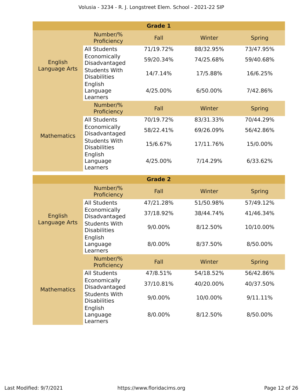|                          |                                                        | <b>Grade 1</b> |           |               |
|--------------------------|--------------------------------------------------------|----------------|-----------|---------------|
|                          | Number/%<br>Proficiency                                | Fall           | Winter    | <b>Spring</b> |
|                          | <b>All Students</b>                                    | 71/19.72%      | 88/32.95% | 73/47.95%     |
| English<br>Language Arts | Economically<br>Disadvantaged                          | 59/20.34%      | 74/25.68% | 59/40.68%     |
|                          | <b>Students With</b><br><b>Disabilities</b>            | 14/7.14%       | 17/5.88%  | 16/6.25%      |
|                          | English<br>Language<br>Learners                        | 4/25.00%       | 6/50.00%  | 7/42.86%      |
|                          | Number/%<br>Proficiency                                | Fall           | Winter    | <b>Spring</b> |
| <b>Mathematics</b>       | <b>All Students</b>                                    | 70/19.72%      | 83/31.33% | 70/44.29%     |
|                          | Economically<br>Disadvantaged                          | 58/22.41%      | 69/26.09% | 56/42.86%     |
|                          | <b>Students With</b><br><b>Disabilities</b>            | 15/6.67%       | 17/11.76% | 15/0.00%      |
|                          | English<br>Language<br>Learners                        | 4/25.00%       | 7/14.29%  | 6/33.62%      |
|                          |                                                        |                |           |               |
|                          |                                                        | <b>Grade 2</b> |           |               |
|                          | Number/%<br>Proficiency                                | Fall           | Winter    | <b>Spring</b> |
|                          | <b>All Students</b>                                    | 47/21.28%      | 51/50.98% | 57/49.12%     |
| English                  | Economically<br>Disadvantaged                          | 37/18.92%      | 38/44.74% | 41/46.34%     |
| Language Arts            | <b>Students With</b><br><b>Disabilities</b>            | 9/0.00%        | 8/12.50%  | 10/10.00%     |
|                          | English<br>Language<br>Learners                        | 8/0.00%        | 8/37.50%  | 8/50.00%      |
|                          | Number/%<br>Proficiency                                | Fall           | Winter    | <b>Spring</b> |
|                          | <b>All Students</b>                                    | 47/8.51%       | 54/18.52% | 56/42.86%     |
| <b>Mathematics</b>       | Economically<br>Disadvantaged                          | 37/10.81%      | 40/20.00% | 40/37.50%     |
|                          | <b>Students With</b><br><b>Disabilities</b><br>English | 9/0.00%        | 10/0.00%  | 9/11.11%      |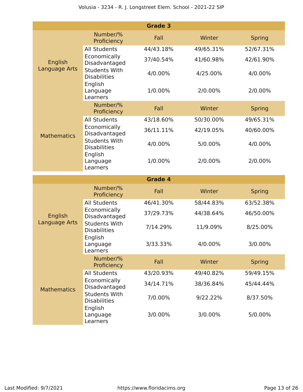|                          |                                                        | <b>Grade 3</b> |           |               |
|--------------------------|--------------------------------------------------------|----------------|-----------|---------------|
|                          | Number/%<br>Proficiency                                | Fall           | Winter    | <b>Spring</b> |
|                          | <b>All Students</b>                                    | 44/43.18%      | 49/65.31% | 52/67.31%     |
| English<br>Language Arts | Economically<br>Disadvantaged                          | 37/40.54%      | 41/60.98% | 42/61.90%     |
|                          | <b>Students With</b><br><b>Disabilities</b>            | 4/0.00%        | 4/25.00%  | 4/0.00%       |
|                          | English<br>Language<br>Learners                        | 1/0.00%        | 2/0.00%   | 2/0.00%       |
|                          | Number/%<br>Proficiency                                | Fall           | Winter    | <b>Spring</b> |
|                          | <b>All Students</b>                                    | 43/18.60%      | 50/30.00% | 49/65.31%     |
| <b>Mathematics</b>       | Economically<br>Disadvantaged                          | 36/11.11%      | 42/19.05% | 40/60.00%     |
|                          | <b>Students With</b><br><b>Disabilities</b>            | 4/0.00%        | 5/0.00%   | 4/0.00%       |
|                          | English<br>Language<br>Learners                        | 1/0.00%        | 2/0.00%   | 2/0.00%       |
|                          |                                                        |                |           |               |
|                          |                                                        | <b>Grade 4</b> |           |               |
|                          | Number/%<br>Proficiency                                | Fall           | Winter    | <b>Spring</b> |
|                          | <b>All Students</b>                                    | 46/41.30%      | 58/44.83% | 63/52.38%     |
| <b>English</b>           | Economically<br>Disadvantaged                          | 37/29.73%      | 44/38.64% | 46/50.00%     |
| Language Arts            | <b>Students With</b><br><b>Disabilities</b>            | 7/14.29%       | 11/9.09%  | 8/25.00%      |
|                          | English<br>Language<br>Learners                        | 3/33.33%       | 4/0.00%   | 3/0.00%       |
|                          | Number/%<br>Proficiency                                | Fall           | Winter    | <b>Spring</b> |
|                          | <b>All Students</b>                                    | 43/20.93%      | 49/40.82% | 59/49.15%     |
| <b>Mathematics</b>       | Economically<br>Disadvantaged                          | 34/14.71%      | 38/36.84% | 45/44.44%     |
|                          | <b>Students With</b><br><b>Disabilities</b><br>English | 7/0.00%        | 9/22.22%  | 8/37.50%      |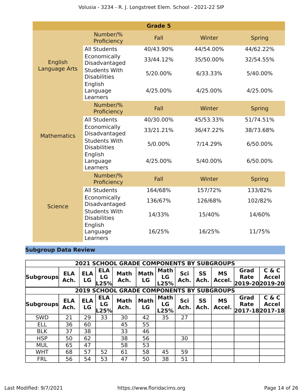|                    |                                             | <b>Grade 5</b> |           |               |
|--------------------|---------------------------------------------|----------------|-----------|---------------|
|                    | Number/%<br>Proficiency                     | Fall           | Winter    | <b>Spring</b> |
|                    | <b>All Students</b>                         | 40/43.90%      | 44/54.00% | 44/62.22%     |
| English            | Economically<br>Disadvantaged               | 33/44.12%      | 35/50.00% | 32/54.55%     |
| Language Arts      | <b>Students With</b><br><b>Disabilities</b> | 5/20.00%       | 6/33.33%  | 5/40.00%      |
|                    | English<br>Language<br>Learners             | 4/25.00%       | 4/25.00%  | 4/25.00%      |
|                    | Number/%<br>Proficiency                     | Fall           | Winter    | <b>Spring</b> |
|                    | <b>All Students</b>                         | 40/30.00%      | 45/53.33% | 51/74.51%     |
| <b>Mathematics</b> | Economically<br>Disadvantaged               | 33/21.21%      | 36/47.22% | 38/73.68%     |
|                    | <b>Students With</b><br><b>Disabilities</b> | 5/0.00%        | 7/14.29%  | 6/50.00%      |
|                    | English<br>Language<br>Learners             | 4/25.00%       | 5/40.00%  | 6/50.00%      |
|                    | Number/%<br>Proficiency                     | Fall           | Winter    | <b>Spring</b> |
|                    | <b>All Students</b>                         | 164/68%        | 157/72%   | 133/82%       |
| <b>Science</b>     | Economically<br>Disadvantaged               | 136/67%        | 126/68%   | 102/82%       |
|                    | <b>Students With</b><br><b>Disabilities</b> | 14/33%         | 15/40%    | 14/60%        |
|                    | English<br>Language<br>Learners             | 16/25%         | 16/25%    | 11/75%        |

### **Subgroup Data Review**

|                  |                    |                  |                            | <b>2021 SCHOOL GRADE COMPONENTS BY SUBGROUPS</b> |                   |                           |             |                   |                     |                                        |                       |
|------------------|--------------------|------------------|----------------------------|--------------------------------------------------|-------------------|---------------------------|-------------|-------------------|---------------------|----------------------------------------|-----------------------|
| <b>Subgroups</b> | <b>ELA</b><br>Ach. | <b>ELA</b><br>LG | <b>ELA</b><br>LG<br>25%    | <b>Math</b><br>Ach.                              | Math<br>LG        | Math<br>LG<br>L25%        | Sci<br>Ach. | <b>SS</b><br>Ach. | <b>MS</b><br>Accel. | Grad<br><b>Rate</b><br>2019-20 2019-20 | C & C<br><b>Accel</b> |
|                  |                    |                  |                            | <b>2019 SCHOOL GRADE COMPONENTS BY SUBGROUPS</b> |                   |                           |             |                   |                     |                                        |                       |
| <b>Subgroups</b> | <b>ELA</b><br>Ach. | <b>ELA</b><br>LG | <b>ELA</b><br>LG<br>$-25%$ | <b>Math</b><br>Ach.                              | <b>Math</b><br>LG | <b>Math</b><br>LG<br>L25% | Sci<br>Ach. | <b>SS</b><br>Ach. | <b>MS</b><br>Accel. | Grad<br><b>Rate</b><br>2017-18 2017-18 | C & C<br><b>Accel</b> |
| <b>SWD</b>       | 21                 | 29               | 33                         | 30                                               | 42                | 35                        | 27          |                   |                     |                                        |                       |
| <b>ELL</b>       | 36                 | 60               |                            | 45                                               | 55                |                           |             |                   |                     |                                        |                       |
| <b>BLK</b>       | 37                 | 38               |                            | 33                                               | 46                |                           |             |                   |                     |                                        |                       |
| <b>HSP</b>       | 50                 | 62               |                            | 38                                               | 56                |                           | 30          |                   |                     |                                        |                       |
| <b>MUL</b>       | 65                 | 47               |                            | 58                                               | 53                |                           |             |                   |                     |                                        |                       |
| <b>WHT</b>       | 68                 | 57               | 52                         | 61                                               | 58                | 45                        | 59          |                   |                     |                                        |                       |
| <b>FRL</b>       | 56                 | 54               | 53                         | 47                                               | 50                | 38                        | 51          |                   |                     |                                        |                       |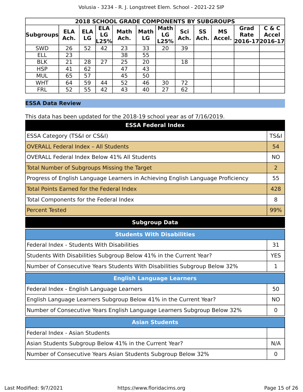|                  | <b>2018 SCHOOL GRADE COMPONENTS BY SUBGROUPS</b> |                  |                          |                     |                   |                           |             |            |                     |                                 |                       |
|------------------|--------------------------------------------------|------------------|--------------------------|---------------------|-------------------|---------------------------|-------------|------------|---------------------|---------------------------------|-----------------------|
| <b>Subgroups</b> | <b>ELA</b><br>Ach.                               | <b>ELA</b><br>LG | <b>ELA</b><br>LG<br>L25% | <b>Math</b><br>Ach. | <b>Math</b><br>LG | <b>Math</b><br>LG<br>L25% | Sci<br>Ach. | SS<br>Ach. | <b>MS</b><br>Accel. | Grad<br>Rate<br>2016-17 2016-17 | C & C<br><b>Accel</b> |
| <b>SWD</b>       | 26                                               | 52               | 42                       | 23                  | 33                | 20                        | 39          |            |                     |                                 |                       |
| <b>ELL</b>       | 23                                               |                  |                          | 38                  | 55                |                           |             |            |                     |                                 |                       |
| <b>BLK</b>       | 21                                               | 28               | 27                       | 25                  | 20                |                           | 18          |            |                     |                                 |                       |
| <b>HSP</b>       | 41                                               | 62               |                          | 47                  | 43                |                           |             |            |                     |                                 |                       |
| <b>MUL</b>       | 65                                               | 57               |                          | 45                  | 50                |                           |             |            |                     |                                 |                       |
| <b>WHT</b>       | 64                                               | 59               | 44                       | 52                  | 46                | 30                        | 72          |            |                     |                                 |                       |
| <b>FRL</b>       | 52                                               | 55               | 42                       | 43                  | 40                | 27                        | 62          |            |                     |                                 |                       |

### **ESSA Data Review**

This data has been updated for the 2018-19 school year as of 7/16/2019.

| <b>ESSA Federal Index</b>                                                       |                 |
|---------------------------------------------------------------------------------|-----------------|
| ESSA Category (TS&I or CS&I)                                                    | <b>TS&amp;I</b> |
| <b>OVERALL Federal Index - All Students</b>                                     | 54              |
| <b>OVERALL Federal Index Below 41% All Students</b>                             | <b>NO</b>       |
| Total Number of Subgroups Missing the Target                                    | 2               |
| Progress of English Language Learners in Achieving English Language Proficiency | 55              |
| Total Points Earned for the Federal Index                                       | 428             |
| Total Components for the Federal Index                                          | 8               |
| <b>Percent Tested</b>                                                           | 99%             |

### **Subgroup Data**

| <b>Students With Disabilities</b>                                         |           |  |  |  |  |  |
|---------------------------------------------------------------------------|-----------|--|--|--|--|--|
| Federal Index - Students With Disabilities                                | 31        |  |  |  |  |  |
| Students With Disabilities Subgroup Below 41% in the Current Year?        |           |  |  |  |  |  |
| Number of Consecutive Years Students With Disabilities Subgroup Below 32% |           |  |  |  |  |  |
| <b>English Language Learners</b>                                          |           |  |  |  |  |  |
| Federal Index - English Language Learners                                 | 50        |  |  |  |  |  |
| English Language Learners Subgroup Below 41% in the Current Year?         | <b>NO</b> |  |  |  |  |  |
| Number of Consecutive Years English Language Learners Subgroup Below 32%  | 0         |  |  |  |  |  |
| <b>Asian Students</b>                                                     |           |  |  |  |  |  |
| Federal Index - Asian Students                                            |           |  |  |  |  |  |
| Asian Students Subgroup Below 41% in the Current Year?                    | N/A       |  |  |  |  |  |
| Number of Consecutive Years Asian Students Subgroup Below 32%             |           |  |  |  |  |  |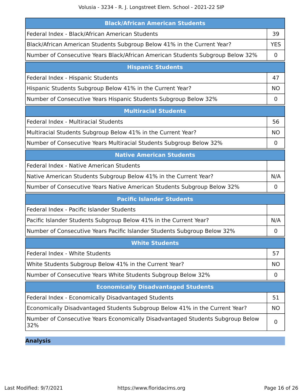Volusia - 3234 - R. J. Longstreet Elem. School - 2021-22 SIP

| <b>Black/African American Students</b>                                                |                |  |  |  |
|---------------------------------------------------------------------------------------|----------------|--|--|--|
| Federal Index - Black/African American Students                                       |                |  |  |  |
| Black/African American Students Subgroup Below 41% in the Current Year?               |                |  |  |  |
| Number of Consecutive Years Black/African American Students Subgroup Below 32%        | 0              |  |  |  |
| <b>Hispanic Students</b>                                                              |                |  |  |  |
| Federal Index - Hispanic Students                                                     | 47             |  |  |  |
| Hispanic Students Subgroup Below 41% in the Current Year?                             |                |  |  |  |
| Number of Consecutive Years Hispanic Students Subgroup Below 32%                      | 0              |  |  |  |
| <b>Multiracial Students</b>                                                           |                |  |  |  |
| Federal Index - Multiracial Students                                                  | 56             |  |  |  |
| Multiracial Students Subgroup Below 41% in the Current Year?                          | <b>NO</b>      |  |  |  |
| Number of Consecutive Years Multiracial Students Subgroup Below 32%                   | $\overline{0}$ |  |  |  |
| <b>Native American Students</b>                                                       |                |  |  |  |
| Federal Index - Native American Students                                              |                |  |  |  |
| Native American Students Subgroup Below 41% in the Current Year?                      | N/A            |  |  |  |
| Number of Consecutive Years Native American Students Subgroup Below 32%               | $\mathbf 0$    |  |  |  |
| <b>Pacific Islander Students</b>                                                      |                |  |  |  |
| Federal Index - Pacific Islander Students                                             |                |  |  |  |
| Pacific Islander Students Subgroup Below 41% in the Current Year?                     | N/A            |  |  |  |
| Number of Consecutive Years Pacific Islander Students Subgroup Below 32%              | 0              |  |  |  |
| <b>White Students</b>                                                                 |                |  |  |  |
| Federal Index - White Students                                                        | 57             |  |  |  |
| White Students Subgroup Below 41% in the Current Year?                                | <b>NO</b>      |  |  |  |
| Number of Consecutive Years White Students Subgroup Below 32%                         | $\mathbf 0$    |  |  |  |
| <b>Economically Disadvantaged Students</b>                                            |                |  |  |  |
| Federal Index - Economically Disadvantaged Students                                   | 51             |  |  |  |
| Economically Disadvantaged Students Subgroup Below 41% in the Current Year?           |                |  |  |  |
| Number of Consecutive Years Economically Disadvantaged Students Subgroup Below<br>32% | 0              |  |  |  |

**Analysis**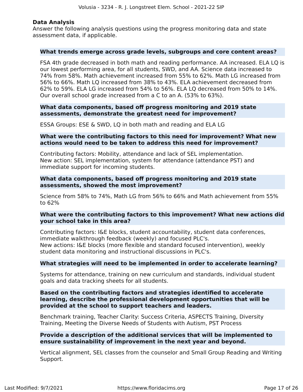### **Data Analysis**

Answer the following analysis questions using the progress monitoring data and state assessment data, if applicable.

### **What trends emerge across grade levels, subgroups and core content areas?**

FSA 4th grade decreased in both math and reading performance. AA increased. ELA LQ is our lowest performing area, for all students, SWD, and AA. Science data increased to 74% from 58%. Math achievement increased from 55% to 62%. Math LG increased from 56% to 66%. Math LQ increased from 38% to 43%. ELA achievement decreased from 62% to 59%. ELA LG increased from 54% to 56%. ELA LQ decreased from 50% to 14%. Our overall school grade increased from a C to an A. (53% to 63%).

### **What data components, based off progress monitoring and 2019 state assessments, demonstrate the greatest need for improvement?**

ESSA Groups: ESE & SWD, LQ in both math and reading and ELA LG

### **What were the contributing factors to this need for improvement? What new actions would need to be taken to address this need for improvement?**

Contributing factors: Mobility, attendance and lack of SEL implementation. New action: SEL implementation, system for attendance (attendance PST) and immediate support for incoming students.

### **What data components, based off progress monitoring and 2019 state assessments, showed the most improvement?**

Science from 58% to 74%, Math LG from 56% to 66% and Math achievement from 55% to 62%

### **What were the contributing factors to this improvement? What new actions did your school take in this area?**

Contributing factors: I&E blocks, student accountability, student data conferences, immediate walkthrough feedback (weekly) and focused PLC's. New actions: I&E blocks (more flexible and standard focused intervention), weekly student data monitoring and instructional discussions in PLC's.

### **What strategies will need to be implemented in order to accelerate learning?**

Systems for attendance, training on new curriculum and standards, individual student goals and data tracking sheets for all students.

### **Based on the contributing factors and strategies identified to accelerate learning, describe the professional development opportunities that will be provided at the school to support teachers and leaders.**

Benchmark training, Teacher Clarity: Success Criteria, ASPECTS Training, Diversity Training, Meeting the Diverse Needs of Students with Autism, PST Process

### **Provide a description of the additional services that will be implemented to ensure sustainability of improvement in the next year and beyond.**

Vertical alignment, SEL classes from the counselor and Small Group Reading and Writing Support.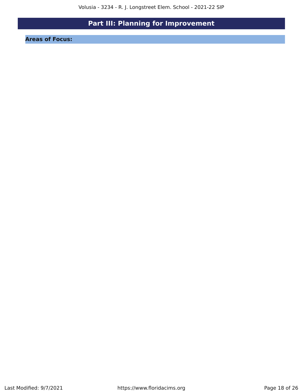# **Part III: Planning for Improvement**

<span id="page-17-0"></span>**Areas of Focus:**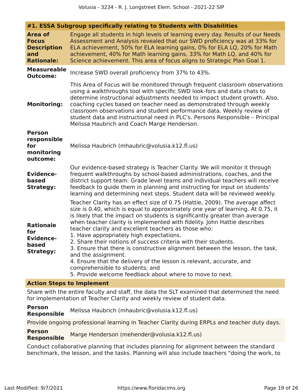|                                                                                  | #1. ESSA Subgroup specifically relating to Students with Disabilities                                                                                                                                                                                                                                                                                                                                                                                                                                                                                                                                                                                                                                                                                                            |
|----------------------------------------------------------------------------------|----------------------------------------------------------------------------------------------------------------------------------------------------------------------------------------------------------------------------------------------------------------------------------------------------------------------------------------------------------------------------------------------------------------------------------------------------------------------------------------------------------------------------------------------------------------------------------------------------------------------------------------------------------------------------------------------------------------------------------------------------------------------------------|
| <b>Area of</b><br><b>Focus</b><br><b>Description</b><br>and<br><b>Rationale:</b> | Engage all students in high levels of learning every day. Results of our Needs<br>Assessment and Analysis revealed that our SWD proficiency was at 33% for<br>ELA achievement, 50% for ELA learning gains, 0% for ELA LQ, 20% for Math<br>achievement, 40% for Math learning gains, 33% for Math LQ, and 40% for<br>Science achievement. This area of focus aligns to Strategic Plan Goal 1.                                                                                                                                                                                                                                                                                                                                                                                     |
| <b>Measureable</b><br><b>Outcome:</b>                                            | Increase SWD overall proficiency from 37% to 43%.                                                                                                                                                                                                                                                                                                                                                                                                                                                                                                                                                                                                                                                                                                                                |
| <b>Monitoring:</b>                                                               | This Area of Focus will be monitored through frequent classroom observations<br>using a walkthroughs tool with specific SWD look-fors and data chats to<br>determine instructional adjustments needed to impact student growth. Also,<br>coaching cycles based on teacher need as demonstrated through weekly<br>classroom observations and student performance data. Weekly review of<br>student data and instructional need in PLC's. Persons Responsible - Principal<br>Melissa Haubrich and Coach Marge Henderson.                                                                                                                                                                                                                                                           |
| <b>Person</b><br>responsible<br>for<br>monitoring<br>outcome:                    | Melissa Haubrich (mhaubric@volusia.k12.fl.us)                                                                                                                                                                                                                                                                                                                                                                                                                                                                                                                                                                                                                                                                                                                                    |
| <b>Evidence-</b><br>based<br><b>Strategy:</b>                                    | Our evidence-based strategy is Teacher Clarity. We will monitor it through<br>frequent walkthroughs by school-based administrations, coaches, and the<br>district support team. Grade level teams and individual teachers will receive<br>feedback to guide them in planning and instructing for input on students'<br>learning and determining next steps. Student data will be reviewed weekly.                                                                                                                                                                                                                                                                                                                                                                                |
| <b>Rationale</b><br>for<br><b>Evidence-</b><br>based<br><b>Strategy:</b>         | Teacher Clarity has an effect size of 0.75 (Hattie, 2009). The average affect<br>size is 0.40, which is equal to approximately one year of learning. At 0.75, it<br>is likely that the impact on students is significantly greater than average<br>when teacher clarity is implemented with fidelity. John Hattie describes<br>teacher clarity and excellent teachers as those who:<br>1. Have appropriately high expectations.<br>2. Share their notions of success criteria with their students.<br>3. Ensure that there is constructive alignment between the lesson, the task,<br>and the assignment.<br>4. Ensure that the delivery of the lesson is relevant, accurate, and<br>comprehensible to students; and<br>5. Provide welcome feedback about where to move to next. |

### **Action Steps to Implement**

Share with the entire faculty and staff, the data the SLT examined that determined the need for implementation of Teacher Clarity and weekly review of student data.

**Person Responsible** Melissa Haubrich (mhaubric@volusia.k12.fl.us)

Provide ongoing professional learning in Teacher Clarity during ERPLs and teacher duty days.

**Person Responsible** Marge Henderson (mehender@volusia.k12.fl.us)

Conduct collaborative planning that includes planning for alignment between the standard benchmark, the lesson, and the tasks. Planning will also include teachers "doing the work, to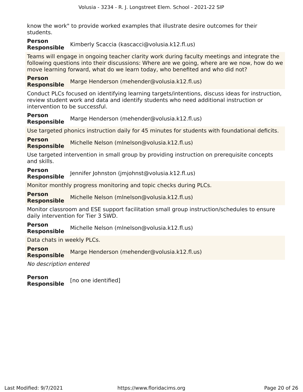know the work" to provide worked examples that illustrate desire outcomes for their students.

### **Person Responsible** Kimberly Scaccia (kascacci@volusia.k12.fl.us)

Teams will engage in ongoing teacher clarity work during faculty meetings and integrate the following questions into their discussions: Where are we going, where are we now, how do we move learning forward, what do we learn today, who benefited and who did not?

**Person Responsible** Marge Henderson (mehender@volusia.k12.fl.us)

Conduct PLCs focused on identifying learning targets/intentions, discuss ideas for instruction, review student work and data and identify students who need additional instruction or intervention to be successful.

**Person Responsible** Marge Henderson (mehender@volusia.k12.fl.us)

Use targeted phonics instruction daily for 45 minutes for students with foundational deficits.

**Person Responsible** Michelle Nelson (mlnelson@volusia.k12.fl.us)

Use targeted intervention in small group by providing instruction on prerequisite concepts and skills.

**Person**

**Responsible** Jennifer Johnston (jmjohnst@volusia.k12.fl.us)

Monitor monthly progress monitoring and topic checks during PLCs.

**Person**

**Responsible** Michelle Nelson (mlnelson@volusia.k12.fl.us)

Monitor classroom and ESE support facilitation small group instruction/schedules to ensure daily intervention for Tier 3 SWD.

**Person Responsible** Michelle Nelson (mlnelson@volusia.k12.fl.us)

Data chats in weekly PLCs.

**Person Responsible** Marge Henderson (mehender@volusia.k12.fl.us)

No description entered

**Person Responsible** [no one identified]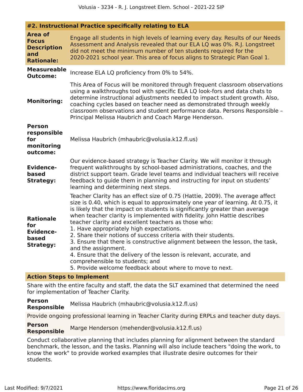|                                                                                  | #2. Instructional Practice specifically relating to ELA                                                                                                                                                                                                                                                                                                                                                                                                                                                                                                                                                                                                                                                                                                                          |  |  |  |  |  |
|----------------------------------------------------------------------------------|----------------------------------------------------------------------------------------------------------------------------------------------------------------------------------------------------------------------------------------------------------------------------------------------------------------------------------------------------------------------------------------------------------------------------------------------------------------------------------------------------------------------------------------------------------------------------------------------------------------------------------------------------------------------------------------------------------------------------------------------------------------------------------|--|--|--|--|--|
| <b>Area of</b><br><b>Focus</b><br><b>Description</b><br>and<br><b>Rationale:</b> | Engage all students in high levels of learning every day. Results of our Needs<br>Assessment and Analysis revealed that our ELA LQ was 0%. R.J. Longstreet<br>did not meet the minimum number of ten students required for the<br>2020-2021 school year. This area of focus aligns to Strategic Plan Goal 1.                                                                                                                                                                                                                                                                                                                                                                                                                                                                     |  |  |  |  |  |
| <b>Measureable</b><br><b>Outcome:</b>                                            | Increase ELA LQ proficiency from 0% to 54%.                                                                                                                                                                                                                                                                                                                                                                                                                                                                                                                                                                                                                                                                                                                                      |  |  |  |  |  |
| <b>Monitoring:</b>                                                               | This Area of Focus will be monitored through frequent classroom observations<br>using a walkthroughs tool with specific ELA LQ look-fors and data chats to<br>determine instructional adjustments needed to impact student growth. Also,<br>coaching cycles based on teacher need as demonstrated through weekly<br>classroom observations and student performance data. Persons Responsible -<br>Principal Melissa Haubrich and Coach Marge Henderson.                                                                                                                                                                                                                                                                                                                          |  |  |  |  |  |
| <b>Person</b><br>responsible<br>for<br>monitoring<br>outcome:                    | Melissa Haubrich (mhaubric@volusia.k12.fl.us)                                                                                                                                                                                                                                                                                                                                                                                                                                                                                                                                                                                                                                                                                                                                    |  |  |  |  |  |
| <b>Evidence-</b><br>based<br><b>Strategy:</b>                                    | Our evidence-based strategy is Teacher Clarity. We will monitor it through<br>frequent walkthroughs by school-based administrations, coaches, and the<br>district support team. Grade level teams and individual teachers will receive<br>feedback to guide them in planning and instructing for input on students'<br>learning and determining next steps.                                                                                                                                                                                                                                                                                                                                                                                                                      |  |  |  |  |  |
| <b>Rationale</b><br>for<br><b>Evidence-</b><br>based<br><b>Strategy:</b>         | Teacher Clarity has an effect size of 0.75 (Hattie, 2009). The average affect<br>size is 0.40, which is equal to approximately one year of learning. At 0.75, it<br>is likely that the impact on students is significantly greater than average<br>when teacher clarity is implemented with fidelity. John Hattie describes<br>teacher clarity and excellent teachers as those who:<br>1. Have appropriately high expectations.<br>2. Share their notions of success criteria with their students.<br>3. Ensure that there is constructive alignment between the lesson, the task,<br>and the assignment.<br>4. Ensure that the delivery of the lesson is relevant, accurate, and<br>comprehensible to students; and<br>5. Provide welcome feedback about where to move to next. |  |  |  |  |  |

### **Action Steps to Implement**

Share with the entire faculty and staff, the data the SLT examined that determined the need for implementation of Teacher Clarity.

**Person Responsible** Melissa Haubrich (mhaubric@volusia.k12.fl.us)

Provide ongoing professional learning in Teacher Clarity during ERPLs and teacher duty days.

**Person Responsible** Marge Henderson (mehender@volusia.k12.fl.us)

Conduct collaborative planning that includes planning for alignment between the standard benchmark, the lesson, and the tasks. Planning will also include teachers "doing the work, to know the work" to provide worked examples that illustrate desire outcomes for their students.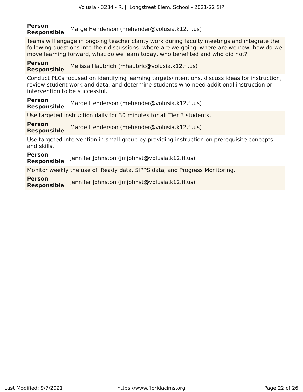### **Person Responsible** Marge Henderson (mehender@volusia.k12.fl.us)

Teams will engage in ongoing teacher clarity work during faculty meetings and integrate the following questions into their discussions: where are we going, where are we now, how do we move learning forward, what do we learn today, who benefited and who did not?

#### **Person Responsible** Melissa Haubrich (mhaubric@volusia.k12.fl.us)

Conduct PLCs focused on identifying learning targets/intentions, discuss ideas for instruction, review student work and data, and determine students who need additional instruction or intervention to be successful.

#### **Person Responsible** Marge Henderson (mehender@volusia.k12.fl.us)

Use targeted instruction daily for 30 minutes for all Tier 3 students.

**Person Responsible** Marge Henderson (mehender@volusia.k12.fl.us)

Use targeted intervention in small group by providing instruction on prerequisite concepts and skills.

### **Person**

**Responsible** Jennifer Johnston (jmjohnst@volusia.k12.fl.us)

Monitor weekly the use of iReady data, SIPPS data, and Progress Monitoring.

**Person Responsible** Jennifer Johnston (jmjohnst@volusia.k12.fl.us)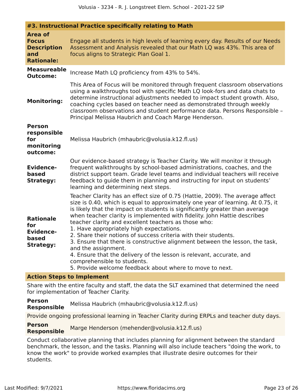|                                                                                  | #3. Instructional Practice specifically relating to Math                                                                                                                                                                                                                                                                                                                                                                                                                                                                                                                                                                                                                                                                                                                     |  |  |  |  |  |
|----------------------------------------------------------------------------------|------------------------------------------------------------------------------------------------------------------------------------------------------------------------------------------------------------------------------------------------------------------------------------------------------------------------------------------------------------------------------------------------------------------------------------------------------------------------------------------------------------------------------------------------------------------------------------------------------------------------------------------------------------------------------------------------------------------------------------------------------------------------------|--|--|--|--|--|
| <b>Area of</b><br><b>Focus</b><br><b>Description</b><br>and<br><b>Rationale:</b> | Engage all students in high levels of learning every day. Results of our Needs<br>Assessment and Analysis revealed that our Math LQ was 43%. This area of<br>focus aligns to Strategic Plan Goal 1.                                                                                                                                                                                                                                                                                                                                                                                                                                                                                                                                                                          |  |  |  |  |  |
| <b>Measureable</b><br><b>Outcome:</b>                                            | Increase Math LQ proficiency from 43% to 54%.                                                                                                                                                                                                                                                                                                                                                                                                                                                                                                                                                                                                                                                                                                                                |  |  |  |  |  |
| <b>Monitoring:</b>                                                               | This Area of Focus will be monitored through frequent classroom observations<br>using a walkthroughs tool with specific Math LQ look-fors and data chats to<br>determine instructional adjustments needed to impact student growth. Also,<br>coaching cycles based on teacher need as demonstrated through weekly<br>classroom observations and student performance data. Persons Responsible -<br>Principal Melissa Haubrich and Coach Marge Henderson.                                                                                                                                                                                                                                                                                                                     |  |  |  |  |  |
| Person<br>responsible<br>for<br>monitoring<br>outcome:                           | Melissa Haubrich (mhaubric@volusia.k12.fl.us)                                                                                                                                                                                                                                                                                                                                                                                                                                                                                                                                                                                                                                                                                                                                |  |  |  |  |  |
| <b>Evidence-</b><br>based<br><b>Strategy:</b>                                    | Our evidence-based strategy is Teacher Clarity. We will monitor it through<br>frequent walkthroughs by school-based administrations, coaches, and the<br>district support team. Grade level teams and individual teachers will receive<br>feedback to guide them in planning and instructing for input on students'<br>learning and determining next steps.                                                                                                                                                                                                                                                                                                                                                                                                                  |  |  |  |  |  |
| <b>Rationale</b><br>for<br><b>Evidence-</b><br>based<br><b>Strategy:</b>         | Teacher Clarity has an effect size of 0.75 (Hattie, 2009). The average affect<br>size is 0.40, which is equal to approximately one year of learning. At 0.75, it<br>is likely that the impact on students is significantly greater than average<br>when teacher clarity is implemented with fidelity. John Hattie describes<br>teacher clarity and excellent teachers as those who:<br>1. Have appropriately high expectations.<br>2. Share their notions of success criteria with their students.<br>3. Ensure that there is constructive alignment between the lesson, the task,<br>and the assignment.<br>4. Ensure that the delivery of the lesson is relevant, accurate, and<br>comprehensible to students.<br>5. Provide welcome feedback about where to move to next. |  |  |  |  |  |

### **Action Steps to Implement**

Share with the entire faculty and staff, the data the SLT examined that determined the need for implementation of Teacher Clarity.

**Person Responsible** Melissa Haubrich (mhaubric@volusia.k12.fl.us)

Provide ongoing professional learning in Teacher Clarity during ERPLs and teacher duty days.

**Person Responsible** Marge Henderson (mehender@volusia.k12.fl.us)

Conduct collaborative planning that includes planning for alignment between the standard benchmark, the lesson, and the tasks. Planning will also include teachers "doing the work, to know the work" to provide worked examples that illustrate desire outcomes for their students.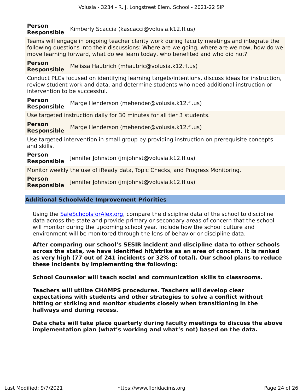### **Person Responsible** Kimberly Scaccia (kascacci@volusia.k12.fl.us)

Teams will engage in ongoing teacher clarity work during faculty meetings and integrate the following questions into their discussions: Where are we going, where are we now, how do we move learning forward, what do we learn today, who benefited and who did not?

#### **Person Responsible** Melissa Haubrich (mhaubric@volusia.k12.fl.us)

Conduct PLCs focused on identifying learning targets/intentions, discuss ideas for instruction, review student work and data, and determine students who need additional instruction or intervention to be successful.

#### **Person Responsible** Marge Henderson (mehender@volusia.k12.fl.us)

Use targeted instruction daily for 30 minutes for all tier 3 students.

**Person Responsible** Marge Henderson (mehender@volusia.k12.fl.us)

Use targeted intervention in small group by providing instruction on prerequisite concepts and skills.

### **Person**

**Responsible** Jennifer Johnston (jmjohnst@volusia.k12.fl.us)

Monitor weekly the use of iReady data, Topic Checks, and Progress Monitoring.

**Person Responsible** Jennifer Johnston (jmjohnst@volusia.k12.fl.us)

### **Additional Schoolwide Improvement Priorities**

Using the [SafeSchoolsforAlex.org,](https://www.safeschoolsforalex.org/fl-school-safety-dashboard/) compare the discipline data of the school to discipline data across the state and provide primary or secondary areas of concern that the school will monitor during the upcoming school year. Include how the school culture and environment will be monitored through the lens of behavior or discipline data.

**After comparing our school's SESIR incident and discipline data to other schools across the state, we have identified hit/strike as an area of concern. It is ranked as very high (77 out of 241 incidents or 32% of total). Our school plans to reduce these incidents by implementing the following:**

**School Counselor will teach social and communication skills to classrooms.**

**Teachers will utilize CHAMPS procedures. Teachers will develop clear expectations with students and other strategies to solve a conflict without hitting or striking and monitor students closely when transitioning in the hallways and during recess.**

**Data chats will take place quarterly during faculty meetings to discuss the above implementation plan (what's working and what's not) based on the data.**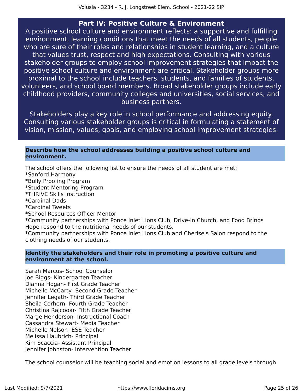### **Part IV: Positive Culture & Environment**

<span id="page-24-0"></span>A positive school culture and environment reflects: a supportive and fulfilling environment, learning conditions that meet the needs of all students, people who are sure of their roles and relationships in student learning, and a culture that values trust, respect and high expectations. Consulting with various stakeholder groups to employ school improvement strategies that impact the positive school culture and environment are critical. Stakeholder groups more proximal to the school include teachers, students, and families of students, volunteers, and school board members. Broad stakeholder groups include early childhood providers, community colleges and universities, social services, and business partners.

Stakeholders play a key role in school performance and addressing equity. Consulting various stakeholder groups is critical in formulating a statement of vision, mission, values, goals, and employing school improvement strategies.

### **Describe how the school addresses building a positive school culture and environment.**

The school offers the following list to ensure the needs of all student are met: \*Sanford Harmony \*Bully Proofing Program \*Student Mentoring Program \*THRIVE Skills Instruction \*Cardinal Dads \*Cardinal Tweets \*School Resources Officer Mentor \*Community partnerships with Ponce Inlet Lions Club, Drive-In Church, and Food Brings Hope respond to the nutritional needs of our students. \*Community partnerships with Ponce Inlet Lions Club and Cherise's Salon respond to the clothing needs of our students.

### **Identify the stakeholders and their role in promoting a positive culture and environment at the school.**

Sarah Marcus- School Counselor Joe Biggs- Kindergarten Teacher Dianna Hogan- First Grade Teacher Michelle McCarty- Second Grade Teacher Jennifer Legath- Third Grade Teacher Sheila Corhern- Fourth Grade Teacher Christina Rajcooar- Fifth Grade Teacher Marge Henderson- Instructional Coach Cassandra Stewart- Media Teacher Michelle Nelson- ESE Teacher Melissa Haubrich- Principal Kim Scaccia- Assistant Principal Jennifer Johnston- Intervention Teacher

The school counselor will be teaching social and emotion lessons to all grade levels through